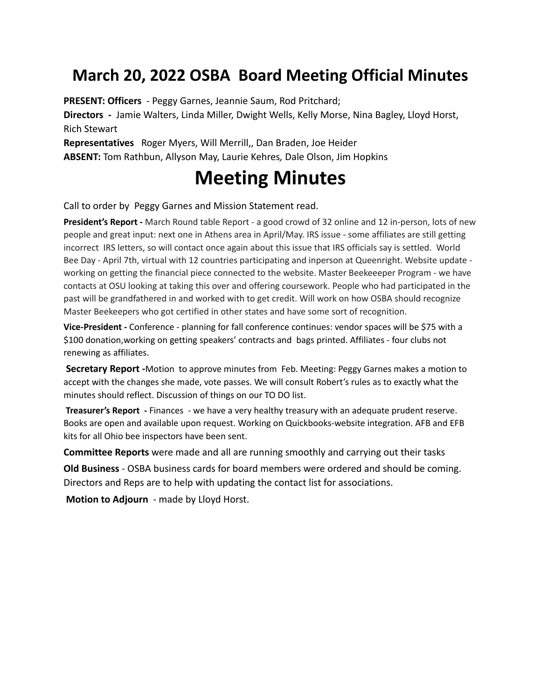## **March 20, 2022 OSBA Board Meeting Official Minutes**

**PRESENT: Officers** - Peggy Garnes, Jeannie Saum, Rod Pritchard;

**Directors -** Jamie Walters, Linda Miller, Dwight Wells, Kelly Morse, Nina Bagley, Lloyd Horst, Rich Stewart

**Representatives** Roger Myers, Will Merrill,, Dan Braden, Joe Heider **ABSENT:** Tom Rathbun, Allyson May, Laurie Kehres*,* Dale Olson, Jim Hopkins

## **Meeting Minutes**

Call to order by Peggy Garnes and Mission Statement read.

**President's Report -** March Round table Report - a good crowd of 32 online and 12 in-person, lots of new people and great input: next one in Athens area in April/May. IRS issue - some affiliates are still getting incorrect IRS letters, so will contact once again about this issue that IRS officials say is settled. World Bee Day - April 7th, virtual with 12 countries participating and inperson at Queenright. Website update working on getting the financial piece connected to the website. Master Beekeeeper Program - we have contacts at OSU looking at taking this over and offering coursework. People who had participated in the past will be grandfathered in and worked with to get credit. Will work on how OSBA should recognize Master Beekeepers who got certified in other states and have some sort of recognition.

**Vice-President -** Conference - planning for fall conference continues: vendor spaces will be \$75 with a \$100 donation,working on getting speakers' contracts and bags printed. Affiliates - four clubs not renewing as affiliates.

**Secretary Report -**Motion to approve minutes from Feb. Meeting: Peggy Garnes makes a motion to accept with the changes she made, vote passes. We will consult Robert's rules as to exactly what the minutes should reflect. Discussion of things on our TO DO list.

**Treasurer's Report -** Finances - we have a very healthy treasury with an adequate prudent reserve. Books are open and available upon request. Working on Quickbooks-website integration. AFB and EFB kits for all Ohio bee inspectors have been sent.

**Committee Reports** were made and all are running smoothly and carrying out their tasks

**Old Business** - OSBA business cards for board members were ordered and should be coming. Directors and Reps are to help with updating the contact list for associations.

**Motion to Adjourn** - made by Lloyd Horst.